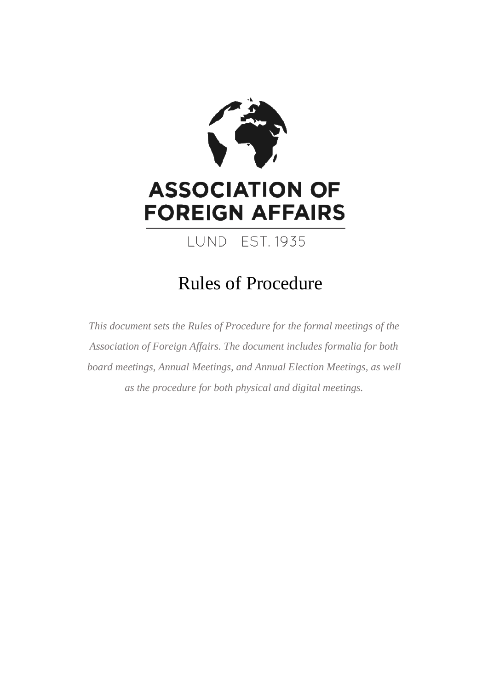

# Rules of Procedure

*This document sets the Rules of Procedure for the formal meetings of the Association of Foreign Affairs. The document includes formalia for both board meetings, Annual Meetings, and Annual Election Meetings, as well as the procedure for both physical and digital meetings.*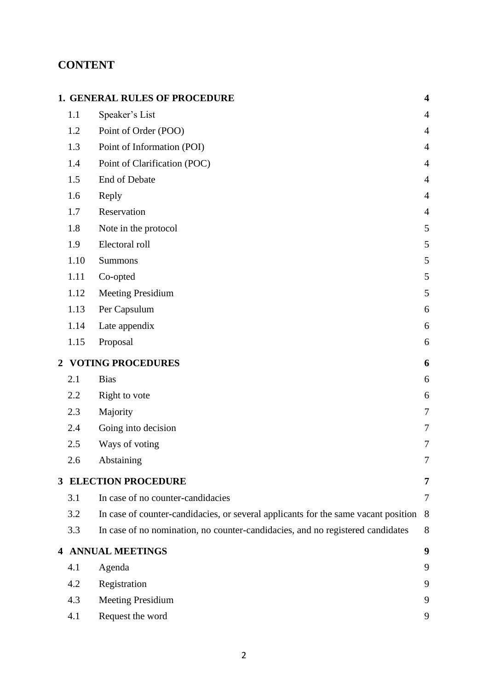# **CONTENT**

|                |                               | <b>1. GENERAL RULES OF PROCEDURE</b>                                               | $\overline{\mathbf{4}}$ |  |  |
|----------------|-------------------------------|------------------------------------------------------------------------------------|-------------------------|--|--|
|                | 1.1                           | Speaker's List                                                                     | $\overline{4}$          |  |  |
|                | 1.2                           | Point of Order (POO)                                                               | $\overline{4}$          |  |  |
|                | 1.3                           | Point of Information (POI)                                                         | $\overline{4}$          |  |  |
|                | 1.4                           | Point of Clarification (POC)                                                       | $\overline{4}$          |  |  |
|                | 1.5                           | End of Debate                                                                      | $\overline{4}$          |  |  |
|                | 1.6                           | Reply                                                                              | $\overline{4}$          |  |  |
|                | 1.7                           | Reservation                                                                        | $\overline{4}$          |  |  |
|                | 1.8                           | Note in the protocol                                                               | 5                       |  |  |
|                | 1.9                           | Electoral roll                                                                     | 5                       |  |  |
|                | 1.10                          | Summons                                                                            | 5                       |  |  |
|                | 1.11                          | Co-opted                                                                           | 5                       |  |  |
|                | 1.12                          | <b>Meeting Presidium</b>                                                           | 5                       |  |  |
|                | 1.13                          | Per Capsulum                                                                       | 6                       |  |  |
|                | 1.14                          | Late appendix                                                                      | 6                       |  |  |
|                | 1.15                          | Proposal                                                                           | 6                       |  |  |
| $\overline{2}$ | <b>VOTING PROCEDURES</b><br>6 |                                                                                    |                         |  |  |
|                | 2.1                           | <b>Bias</b>                                                                        | 6                       |  |  |
|                | 2.2                           | Right to vote                                                                      | 6                       |  |  |
|                | 2.3                           | Majority                                                                           | $\overline{7}$          |  |  |
|                | 2.4                           | Going into decision                                                                | $\overline{7}$          |  |  |
|                | 2.5                           | Ways of voting                                                                     | $\overline{7}$          |  |  |
|                | 2.6                           | Abstaining                                                                         | 7                       |  |  |
| $3^{\circ}$    |                               | <b>ELECTION PROCEDURE</b>                                                          | 7                       |  |  |
|                | 3.1                           | In case of no counter-candidacies                                                  | $\overline{7}$          |  |  |
|                | 3.2                           | In case of counter-candidacies, or several applicants for the same vacant position | 8                       |  |  |
|                | 3.3                           | In case of no nomination, no counter-candidacies, and no registered candidates     | 8                       |  |  |
|                |                               | <b>4 ANNUAL MEETINGS</b>                                                           | 9                       |  |  |
|                | 4.1                           | Agenda                                                                             | 9                       |  |  |
|                | 4.2                           | Registration                                                                       | 9                       |  |  |
|                | 4.3                           | <b>Meeting Presidium</b>                                                           | 9                       |  |  |
|                | 4.1                           | Request the word                                                                   | 9                       |  |  |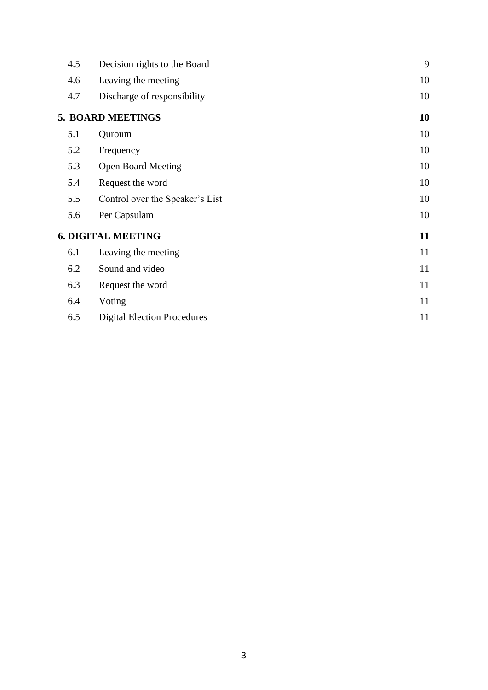| 4.5                       | Decision rights to the Board       | 9  |  |  |
|---------------------------|------------------------------------|----|--|--|
| 4.6                       | Leaving the meeting                | 10 |  |  |
| 4.7                       | Discharge of responsibility        | 10 |  |  |
|                           | 5. BOARD MEETINGS                  | 10 |  |  |
| 5.1                       | Quroum                             | 10 |  |  |
| 5.2                       | Frequency                          | 10 |  |  |
| 5.3                       | <b>Open Board Meeting</b>          | 10 |  |  |
| 5.4                       | Request the word                   | 10 |  |  |
| 5.5                       | Control over the Speaker's List    | 10 |  |  |
| 5.6                       | Per Capsulam                       | 10 |  |  |
| <b>6. DIGITAL MEETING</b> |                                    |    |  |  |
| 6.1                       | Leaving the meeting                | 11 |  |  |
| 6.2                       | Sound and video                    | 11 |  |  |
| 6.3                       | Request the word                   | 11 |  |  |
| 6.4                       | Voting                             | 11 |  |  |
| 6.5                       | <b>Digital Election Procedures</b> | 11 |  |  |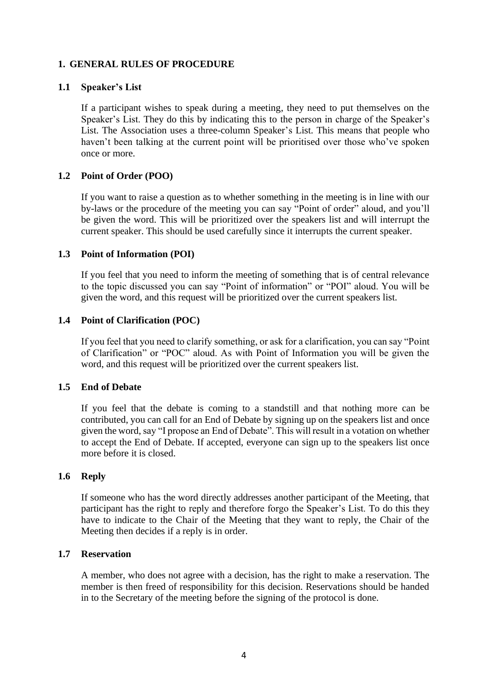# <span id="page-3-0"></span>**1. GENERAL RULES OF PROCEDURE**

# <span id="page-3-1"></span>**1.1 Speaker's List**

If a participant wishes to speak during a meeting, they need to put themselves on the Speaker's List. They do this by indicating this to the person in charge of the Speaker's List. The Association uses a three-column Speaker's List. This means that people who haven't been talking at the current point will be prioritised over those who've spoken once or more.

# <span id="page-3-2"></span>**1.2 Point of Order (POO)**

If you want to raise a question as to whether something in the meeting is in line with our by-laws or the procedure of the meeting you can say "Point of order" aloud, and you'll be given the word. This will be prioritized over the speakers list and will interrupt the current speaker. This should be used carefully since it interrupts the current speaker.

# <span id="page-3-3"></span>**1.3 Point of Information (POI)**

If you feel that you need to inform the meeting of something that is of central relevance to the topic discussed you can say "Point of information" or "POI" aloud. You will be given the word, and this request will be prioritized over the current speakers list.

# <span id="page-3-4"></span>**1.4 Point of Clarification (POC)**

If you feel that you need to clarify something, or ask for a clarification, you can say "Point of Clarification" or "POC" aloud. As with Point of Information you will be given the word, and this request will be prioritized over the current speakers list.

# <span id="page-3-5"></span>**1.5 End of Debate**

If you feel that the debate is coming to a standstill and that nothing more can be contributed, you can call for an End of Debate by signing up on the speakers list and once given the word,say "I propose an End of Debate". This will result in a votation on whether to accept the End of Debate. If accepted, everyone can sign up to the speakers list once more before it is closed.

# <span id="page-3-6"></span>**1.6 Reply**

If someone who has the word directly addresses another participant of the Meeting, that participant has the right to reply and therefore forgo the Speaker's List. To do this they have to indicate to the Chair of the Meeting that they want to reply, the Chair of the Meeting then decides if a reply is in order.

# <span id="page-3-7"></span>**1.7 Reservation**

A member, who does not agree with a decision, has the right to make a reservation. The member is then freed of responsibility for this decision. Reservations should be handed in to the Secretary of the meeting before the signing of the protocol is done.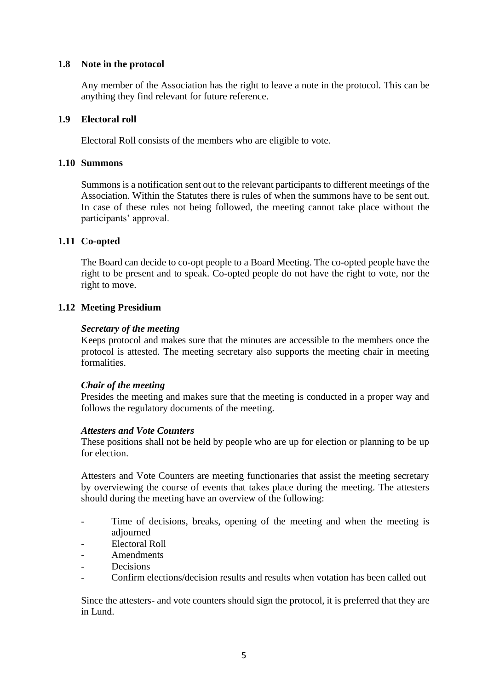# <span id="page-4-0"></span>**1.8 Note in the protocol**

Any member of the Association has the right to leave a note in the protocol. This can be anything they find relevant for future reference.

# <span id="page-4-1"></span>**1.9 Electoral roll**

Electoral Roll consists of the members who are eligible to vote.

#### <span id="page-4-2"></span>**1.10 Summons**

Summons is a notification sent out to the relevant participants to different meetings of the Association. Within the Statutes there is rules of when the summons have to be sent out. In case of these rules not being followed, the meeting cannot take place without the participants' approval.

# <span id="page-4-3"></span>**1.11 Co-opted**

The Board can decide to co-opt people to a Board Meeting. The co-opted people have the right to be present and to speak. Co-opted people do not have the right to vote, nor the right to move.

# <span id="page-4-4"></span>**1.12 Meeting Presidium**

# *Secretary of the meeting*

Keeps protocol and makes sure that the minutes are accessible to the members once the protocol is attested. The meeting secretary also supports the meeting chair in meeting formalities.

# *Chair of the meeting*

Presides the meeting and makes sure that the meeting is conducted in a proper way and follows the regulatory documents of the meeting.

#### *Attesters and Vote Counters*

These positions shall not be held by people who are up for election or planning to be up for election.

Attesters and Vote Counters are meeting functionaries that assist the meeting secretary by overviewing the course of events that takes place during the meeting. The attesters should during the meeting have an overview of the following:

- Time of decisions, breaks, opening of the meeting and when the meeting is adjourned
- Electoral Roll
- Amendments
- **Decisions**
- Confirm elections/decision results and results when votation has been called out

Since the attesters- and vote counters should sign the protocol, it is preferred that they are in Lund.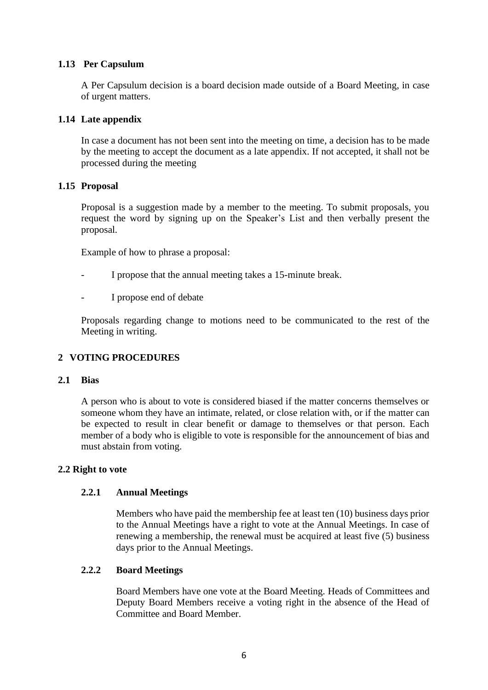# **1.13 Per Capsulum**

<span id="page-5-0"></span>A Per Capsulum decision is a board decision made outside of a Board Meeting, in case of urgent matters.

# <span id="page-5-1"></span>**1.14 Late appendix**

In case a document has not been sent into the meeting on time, a decision has to be made by the meeting to accept the document as a late appendix. If not accepted, it shall not be processed during the meeting

# <span id="page-5-2"></span>**1.15 Proposal**

Proposal is a suggestion made by a member to the meeting. To submit proposals, you request the word by signing up on the Speaker's List and then verbally present the proposal.

Example of how to phrase a proposal:

- I propose that the annual meeting takes a 15-minute break.
- I propose end of debate

Proposals regarding change to motions need to be communicated to the rest of the Meeting in writing.

# <span id="page-5-3"></span>**2 VOTING PROCEDURES**

# <span id="page-5-4"></span>**2.1 Bias**

A person who is about to vote is considered biased if the matter concerns themselves or someone whom they have an intimate, related, or close relation with, or if the matter can be expected to result in clear benefit or damage to themselves or that person. Each member of a body who is eligible to vote is responsible for the announcement of bias and must abstain from voting.

# <span id="page-5-5"></span>**2.2 Right to vote**

# **2.2.1 Annual Meetings**

Members who have paid the membership fee at least ten (10) business days prior to the Annual Meetings have a right to vote at the Annual Meetings. In case of renewing a membership, the renewal must be acquired at least five (5) business days prior to the Annual Meetings.

# **2.2.2 Board Meetings**

Board Members have one vote at the Board Meeting. Heads of Committees and Deputy Board Members receive a voting right in the absence of the Head of Committee and Board Member.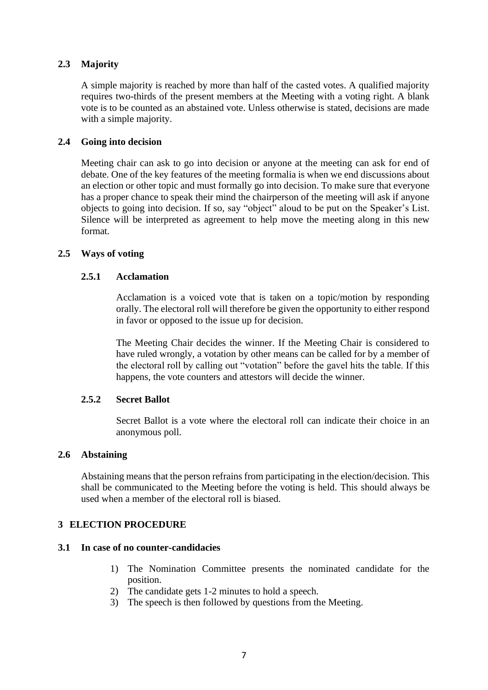# <span id="page-6-0"></span>**2.3 Majority**

A simple majority is reached by more than half of the casted votes. A qualified majority requires two-thirds of the present members at the Meeting with a voting right. A blank vote is to be counted as an abstained vote. Unless otherwise is stated, decisions are made with a simple majority.

# <span id="page-6-1"></span>**2.4 Going into decision**

Meeting chair can ask to go into decision or anyone at the meeting can ask for end of debate. One of the key features of the meeting formalia is when we end discussions about an election or other topic and must formally go into decision. To make sure that everyone has a proper chance to speak their mind the chairperson of the meeting will ask if anyone objects to going into decision. If so, say "object" aloud to be put on the Speaker's List. Silence will be interpreted as agreement to help move the meeting along in this new format.

# <span id="page-6-2"></span>**2.5 Ways of voting**

# **2.5.1 Acclamation**

Acclamation is a voiced vote that is taken on a topic/motion by responding orally. The electoral roll will therefore be given the opportunity to either respond in favor or opposed to the issue up for decision.

The Meeting Chair decides the winner. If the Meeting Chair is considered to have ruled wrongly, a votation by other means can be called for by a member of the electoral roll by calling out "votation" before the gavel hits the table. If this happens, the vote counters and attestors will decide the winner.

# **2.5.2 Secret Ballot**

Secret Ballot is a vote where the electoral roll can indicate their choice in an anonymous poll.

# <span id="page-6-3"></span>**2.6 Abstaining**

Abstaining means that the person refrains from participating in the election/decision. This shall be communicated to the Meeting before the voting is held. This should always be used when a member of the electoral roll is biased.

# <span id="page-6-4"></span>**3 ELECTION PROCEDURE**

# <span id="page-6-5"></span>**3.1 In case of no counter-candidacies**

- 1) The Nomination Committee presents the nominated candidate for the position.
- 2) The candidate gets 1-2 minutes to hold a speech.
- 3) The speech is then followed by questions from the Meeting.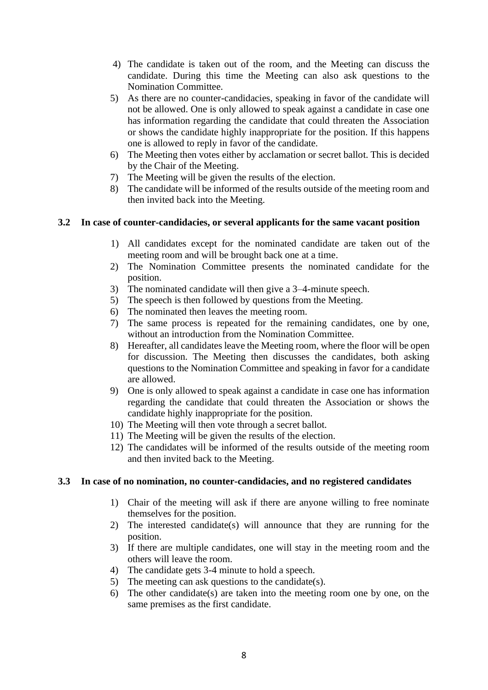- 4) The candidate is taken out of the room, and the Meeting can discuss the candidate. During this time the Meeting can also ask questions to the Nomination Committee.
- 5) As there are no counter-candidacies, speaking in favor of the candidate will not be allowed. One is only allowed to speak against a candidate in case one has information regarding the candidate that could threaten the Association or shows the candidate highly inappropriate for the position. If this happens one is allowed to reply in favor of the candidate.
- 6) The Meeting then votes either by acclamation or secret ballot. This is decided by the Chair of the Meeting.
- 7) The Meeting will be given the results of the election.
- 8) The candidate will be informed of the results outside of the meeting room and then invited back into the Meeting.

# <span id="page-7-0"></span>**3.2 In case of counter-candidacies, or several applicants for the same vacant position**

- 1) All candidates except for the nominated candidate are taken out of the meeting room and will be brought back one at a time.
- 2) The Nomination Committee presents the nominated candidate for the position.
- 3) The nominated candidate will then give a 3–4-minute speech.
- 5) The speech is then followed by questions from the Meeting.
- 6) The nominated then leaves the meeting room.
- 7) The same process is repeated for the remaining candidates, one by one, without an introduction from the Nomination Committee.
- 8) Hereafter, all candidates leave the Meeting room, where the floor will be open for discussion. The Meeting then discusses the candidates, both asking questions to the Nomination Committee and speaking in favor for a candidate are allowed.
- 9) One is only allowed to speak against a candidate in case one has information regarding the candidate that could threaten the Association or shows the candidate highly inappropriate for the position.
- 10) The Meeting will then vote through a secret ballot.
- 11) The Meeting will be given the results of the election.
- 12) The candidates will be informed of the results outside of the meeting room and then invited back to the Meeting.

# <span id="page-7-1"></span>**3.3 In case of no nomination, no counter-candidacies, and no registered candidates**

- 1) Chair of the meeting will ask if there are anyone willing to free nominate themselves for the position.
- 2) The interested candidate(s) will announce that they are running for the position.
- 3) If there are multiple candidates, one will stay in the meeting room and the others will leave the room.
- 4) The candidate gets 3-4 minute to hold a speech.
- 5) The meeting can ask questions to the candidate(s).
- 6) The other candidate(s) are taken into the meeting room one by one, on the same premises as the first candidate.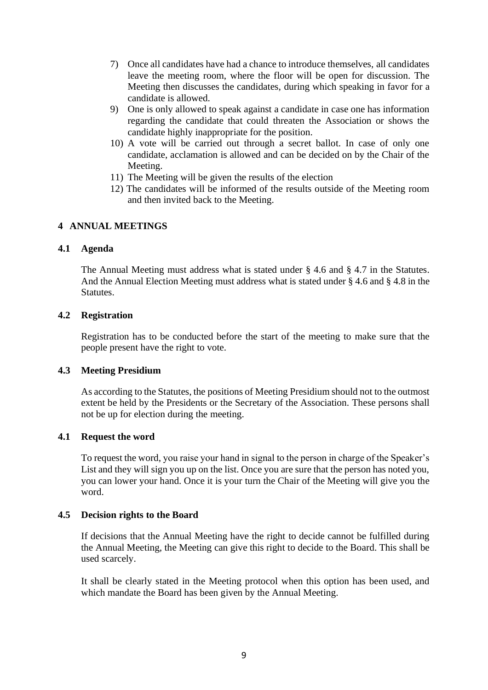- 7) Once all candidates have had a chance to introduce themselves, all candidates leave the meeting room, where the floor will be open for discussion. The Meeting then discusses the candidates, during which speaking in favor for a candidate is allowed.
- 9) One is only allowed to speak against a candidate in case one has information regarding the candidate that could threaten the Association or shows the candidate highly inappropriate for the position.
- 10) A vote will be carried out through a secret ballot. In case of only one candidate, acclamation is allowed and can be decided on by the Chair of the Meeting.
- 11) The Meeting will be given the results of the election
- 12) The candidates will be informed of the results outside of the Meeting room and then invited back to the Meeting.

# <span id="page-8-0"></span>**4 ANNUAL MEETINGS**

# <span id="page-8-1"></span>**4.1 Agenda**

The Annual Meeting must address what is stated under § 4.6 and § 4.7 in the Statutes. And the Annual Election Meeting must address what is stated under § 4.6 and § 4.8 in the Statutes.

#### <span id="page-8-2"></span>**4.2 Registration**

Registration has to be conducted before the start of the meeting to make sure that the people present have the right to vote.

# <span id="page-8-3"></span>**4.3 Meeting Presidium**

As according to the Statutes, the positions of Meeting Presidium should not to the outmost extent be held by the Presidents or the Secretary of the Association. These persons shall not be up for election during the meeting.

# <span id="page-8-4"></span>**4.1 Request the word**

To request the word, you raise your hand in signal to the person in charge of the Speaker's List and they will sign you up on the list. Once you are sure that the person has noted you, you can lower your hand. Once it is your turn the Chair of the Meeting will give you the word.

# <span id="page-8-5"></span>**4.5 Decision rights to the Board**

If decisions that the Annual Meeting have the right to decide cannot be fulfilled during the Annual Meeting, the Meeting can give this right to decide to the Board. This shall be used scarcely.

It shall be clearly stated in the Meeting protocol when this option has been used, and which mandate the Board has been given by the Annual Meeting.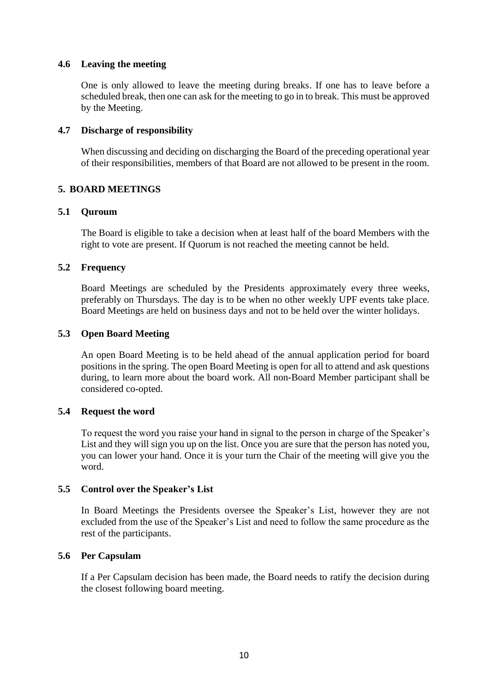# <span id="page-9-0"></span>**4.6 Leaving the meeting**

One is only allowed to leave the meeting during breaks. If one has to leave before a scheduled break, then one can ask for the meeting to go in to break. This must be approved by the Meeting.

# <span id="page-9-1"></span>**4.7 Discharge of responsibility**

When discussing and deciding on discharging the Board of the preceding operational year of their responsibilities, members of that Board are not allowed to be present in the room.

# <span id="page-9-2"></span>**5. BOARD MEETINGS**

# <span id="page-9-3"></span>**5.1 Quroum**

The Board is eligible to take a decision when at least half of the board Members with the right to vote are present. If Quorum is not reached the meeting cannot be held.

# <span id="page-9-4"></span>**5.2 Frequency**

Board Meetings are scheduled by the Presidents approximately every three weeks, preferably on Thursdays. The day is to be when no other weekly UPF events take place. Board Meetings are held on business days and not to be held over the winter holidays.

# <span id="page-9-5"></span>**5.3 Open Board Meeting**

An open Board Meeting is to be held ahead of the annual application period for board positions in the spring. The open Board Meeting is open for all to attend and ask questions during, to learn more about the board work. All non-Board Member participant shall be considered co-opted.

# <span id="page-9-6"></span>**5.4 Request the word**

To request the word you raise your hand in signal to the person in charge of the Speaker's List and they will sign you up on the list. Once you are sure that the person has noted you, you can lower your hand. Once it is your turn the Chair of the meeting will give you the word.

# <span id="page-9-7"></span>**5.5 Control over the Speaker's List**

In Board Meetings the Presidents oversee the Speaker's List, however they are not excluded from the use of the Speaker's List and need to follow the same procedure as the rest of the participants.

# <span id="page-9-8"></span>**5.6 Per Capsulam**

If a Per Capsulam decision has been made, the Board needs to ratify the decision during the closest following board meeting.